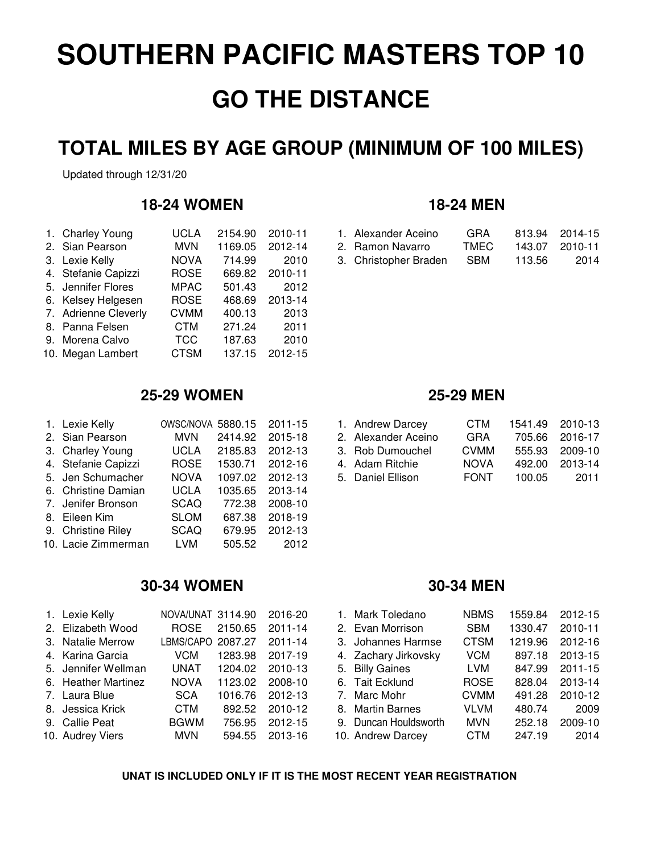## **TOTAL MILES BY AGE GROUP (MINIMUM OF 100 MILES)**

Updated through 12/31/20

### **18-24 WOMEN 18-24 MEN**

| 1. Charley Young     | UCLA        | 2154.90 | 2010-11 | 1. Alexander Aceino   | <b>GRA</b>  | 813.94 | 2014-15 |
|----------------------|-------------|---------|---------|-----------------------|-------------|--------|---------|
| 2. Sian Pearson      | <b>MVN</b>  | 1169.05 | 2012-14 | 2. Ramon Navarro      | <b>TMEC</b> | 143.07 | 2010-11 |
| 3. Lexie Kelly       | <b>NOVA</b> | 714.99  | 2010    | 3. Christopher Braden | <b>SBM</b>  | 113.56 | 2014    |
| 4. Stefanie Capizzi  | <b>ROSE</b> | 669.82  | 2010-11 |                       |             |        |         |
| 5. Jennifer Flores   | <b>MPAC</b> | 501.43  | 2012    |                       |             |        |         |
| 6. Kelsey Helgesen   | <b>ROSE</b> | 468.69  | 2013-14 |                       |             |        |         |
| 7. Adrienne Cleverly | <b>CVMM</b> | 400.13  | 2013    |                       |             |        |         |
| 8. Panna Felsen      | <b>CTM</b>  | 271.24  | 2011    |                       |             |        |         |
| 9. Morena Calvo      | TCC.        | 187.63  | 2010    |                       |             |        |         |
| 10. Megan Lambert    | <b>CTSM</b> | 137.15  | 2012-15 |                       |             |        |         |

| 1. Alexander Aceino   | GRA        |        | 813.94 2014-15 |
|-----------------------|------------|--------|----------------|
| 2. Ramon Navarro      | TMEC       |        | 143.07 2010-11 |
| 3. Christopher Braden | <b>SBM</b> | 113.56 | 2014           |

### **25-29 WOMEN 25-29 MEN**

| 1. Lexie Kelly      | OWSC/NOVA 5880.15 |         | 2011-15 |
|---------------------|-------------------|---------|---------|
| 2. Sian Pearson     | <b>MVN</b>        | 2414.92 | 2015-18 |
| 3. Charley Young    | <b>UCLA</b>       | 2185.83 | 2012-13 |
| 4. Stefanie Capizzi | <b>ROSE</b>       | 1530.71 | 2012-16 |
| 5. Jen Schumacher   | <b>NOVA</b>       | 1097.02 | 2012-13 |
| 6. Christine Damian | <b>UCLA</b>       | 1035.65 | 2013-14 |
| 7. Jenifer Bronson  | <b>SCAQ</b>       | 772.38  | 2008-10 |
| 8. Eileen Kim       | <b>SLOM</b>       | 687.38  | 2018-19 |
| 9. Christine Riley  | <b>SCAQ</b>       | 679.95  | 2012-13 |
| 10. Lacie Zimmerman | <b>LVM</b>        | 505.52  | 2012    |
|                     |                   |         |         |

| 1. Lexie Kelly       | OWSC/NOVA 5880.15 2011-15 |                 |  | 1. Andrew Darcey    | CTM.        | 1541.49 2010-13 |                |
|----------------------|---------------------------|-----------------|--|---------------------|-------------|-----------------|----------------|
| 2. Sian Pearson      | MVN.                      | 2414.92 2015-18 |  | 2. Alexander Aceino | GRA         |                 | 705.66 2016-17 |
| 3. Charley Young     | UCLA                      | 2185.83 2012-13 |  | 3. Rob Dumouchel    | <b>CVMM</b> |                 | 555.93 2009-10 |
| 4. Stefanie Capizzi  | <b>ROSE</b>               | 1530.71 2012-16 |  | 4. Adam Ritchie     | <b>NOVA</b> | 492.00          | 2013-14        |
| 5. - Jen Schumacher. | NOVA.                     | 1097.02 2012-13 |  | 5. Daniel Ellison   | <b>FONT</b> | 100.05.         | 2011           |
|                      |                           |                 |  |                     |             |                 |                |

### **30-34 WOMEN 30-34 MEN**

| 1. Lexie Kelly      | NOVA/UNAT 3114.90 |         | 2016-20        |
|---------------------|-------------------|---------|----------------|
| 2. Elizabeth Wood   | <b>ROSE</b>       | 2150.65 | 2011-14        |
| 3. Natalie Merrow   | LBMS/CAPO 2087.27 |         | 2011-14        |
| 4. Karina Garcia    | <b>VCM</b>        | 1283.98 | 2017-19        |
| 5. Jennifer Wellman | UNAT              | 1204.02 | 2010-13        |
| 6. Heather Martinez | <b>NOVA</b>       | 1123.02 | 2008-10        |
| 7. Laura Blue       | <b>SCA</b>        | 1016.76 | 2012-13        |
| 8. Jessica Krick    | <b>CTM</b>        | 892.52  | 2010-12        |
| 9. Callie Peat      | <b>BGWM</b>       | 756.95  | 2012-15        |
| 10. Audrey Viers    | <b>MVN</b>        |         | 594.55 2013-16 |

| 1. Lexie Kelly      | NOVA/UNAT 3114.90 |         | 2016-20 | 1. Mark Toledano      | <b>NBMS</b> | 1559.84 | 2012-15 |
|---------------------|-------------------|---------|---------|-----------------------|-------------|---------|---------|
| 2. Elizabeth Wood   | <b>ROSE</b>       | 2150.65 | 2011-14 | 2. Evan Morrison      | <b>SBM</b>  | 1330.47 | 2010-11 |
| 3. Natalie Merrow   | LBMS/CAPO 2087.27 |         | 2011-14 | 3. Johannes Harmse    | <b>CTSM</b> | 1219.96 | 2012-16 |
| 4. Karina Garcia    | <b>VCM</b>        | 1283.98 | 2017-19 | 4. Zachary Jirkovsky  | <b>VCM</b>  | 897.18  | 2013-15 |
| 5. Jennifer Wellman | UNAT              | 1204.02 | 2010-13 | 5. Billy Gaines       | <b>LVM</b>  | 847.99  | 2011-15 |
| 6. Heather Martinez | <b>NOVA</b>       | 1123.02 | 2008-10 | 6. Tait Ecklund       | <b>ROSE</b> | 828.04  | 2013-14 |
| 7. Laura Blue       | <b>SCA</b>        | 1016.76 | 2012-13 | 7. Marc Mohr          | <b>CVMM</b> | 491.28  | 2010-12 |
| 8. Jessica Krick    | <b>CTM</b>        | 892.52  | 2010-12 | 8. Martin Barnes      | <b>VLVM</b> | 480.74  | 2009    |
| 9. Callie Peat      | <b>BGWM</b>       | 756.95  | 2012-15 | 9. Duncan Houldsworth | <b>MVN</b>  | 252.18  | 2009-10 |
| 10. Audrey Viers    | MVN               | 594.55  | 2013-16 | 10. Andrew Darcey     | <b>CTM</b>  | 247.19  | 2014    |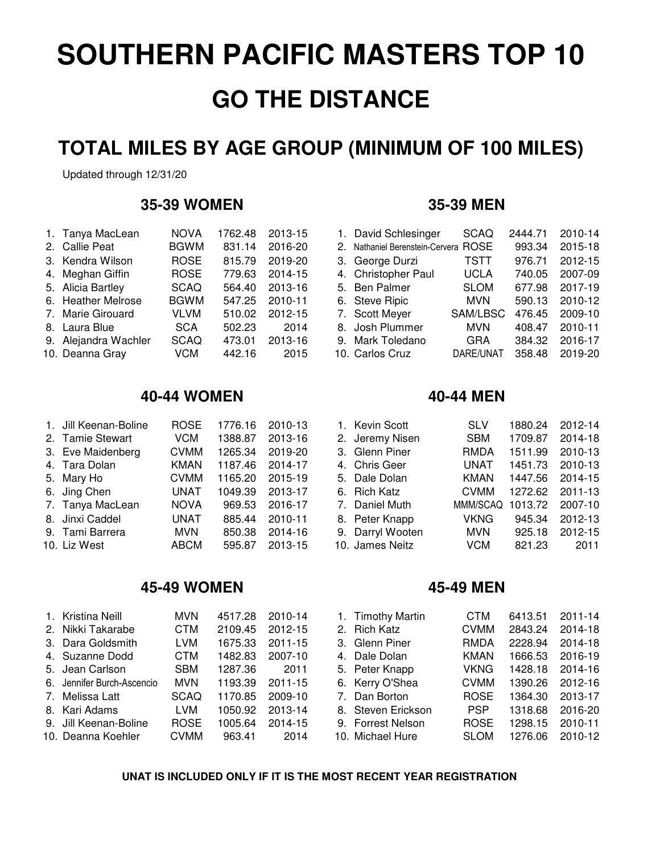## **TOTAL MILES BY AGE GROUP (MINIMUM OF 100 MILES)**

Updated through 12/31/20

### **35-39 WOMEN 35-39 MEN**

| <b>NOVA</b>                                                                                                                                                                                            | 1762.48 | 2013-15 |  | <b>SCAQ</b>                                                                                                                                                                      | 2444.71                                           | 2010-14  |
|--------------------------------------------------------------------------------------------------------------------------------------------------------------------------------------------------------|---------|---------|--|----------------------------------------------------------------------------------------------------------------------------------------------------------------------------------|---------------------------------------------------|----------|
| <b>BGWM</b>                                                                                                                                                                                            | 831.14  | 2016-20 |  |                                                                                                                                                                                  | 993.34                                            | 2015-18  |
| <b>ROSE</b>                                                                                                                                                                                            | 815.79  | 2019-20 |  | <b>TSTT</b>                                                                                                                                                                      | 976.71                                            | 2012-15  |
| <b>ROSE</b>                                                                                                                                                                                            | 779.63  | 2014-15 |  | <b>UCLA</b>                                                                                                                                                                      | 740.05                                            | 2007-09  |
| <b>SCAO</b>                                                                                                                                                                                            | 564.40  | 2013-16 |  | <b>SLOM</b>                                                                                                                                                                      | 677.98                                            | 2017-19  |
| <b>BGWM</b>                                                                                                                                                                                            | 547.25  | 2010-11 |  | <b>MVN</b>                                                                                                                                                                       | 590.13                                            | 2010-12  |
| VLVM                                                                                                                                                                                                   | 510.02  | 2012-15 |  |                                                                                                                                                                                  | 476.45                                            | 2009-10  |
| <b>SCA</b>                                                                                                                                                                                             | 502.23  | 2014    |  | <b>MVN</b>                                                                                                                                                                       | 408.47                                            | 2010-11  |
| <b>SCAQ</b>                                                                                                                                                                                            | 473.01  | 2013-16 |  | <b>GRA</b>                                                                                                                                                                       | 384.32                                            | 2016-17  |
| <b>VCM</b>                                                                                                                                                                                             | 442.16  | 2015    |  |                                                                                                                                                                                  | 358.48                                            | 2019-20  |
| 1. Tanya MacLean<br>2. Callie Peat<br>3. Kendra Wilson<br>4. Meghan Giffin<br>5. Alicia Bartley<br>6. Heather Melrose<br>7. Marie Girouard<br>8. Laura Blue<br>9. Alejandra Wachler<br>10. Deanna Gray |         |         |  | David Schlesinger<br>1.<br>3. George Durzi<br>4. Christopher Paul<br>5. Ben Palmer<br>6. Steve Ripic<br>7. Scott Meyer<br>8. Josh Plummer<br>9. Mark Toledano<br>10. Carlos Cruz | 2. Nathaniel Berenstein-Cervera ROSE<br>DARE/UNAT | SAM/LBSC |

### **40-44 WOMEN 40-44 MEN**

| 1. Jill Keenan-Boline | <b>ROSE</b> | 1776.16 | 2010-13 | 1. Kevin Scott   | <b>SLV</b>  | 1880.24 | 2012-14 |
|-----------------------|-------------|---------|---------|------------------|-------------|---------|---------|
| 2. Tamie Stewart      | <b>VCM</b>  | 1388.87 | 2013-16 | 2. Jeremy Nisen  | <b>SBM</b>  | 1709.87 | 2014-18 |
| 3. Eve Maidenberg     | <b>CVMM</b> | 1265.34 | 2019-20 | 3. Glenn Piner   | RMDA        | 1511.99 | 2010-13 |
| 4. Tara Dolan         | <b>KMAN</b> | 1187.46 | 2014-17 | 4. Chris Geer    | UNAT        | 1451.73 | 2010-13 |
| 5. Mary Ho            | <b>CVMM</b> | 1165.20 | 2015-19 | 5. Dale Dolan    | KMAN        | 1447.56 | 2014-15 |
| 6. Jing Chen          | UNAT        | 1049.39 | 2013-17 | 6. Rich Katz     | <b>CVMM</b> | 1272.62 | 2011-13 |
| 7. Tanya MacLean      | <b>NOVA</b> | 969.53  | 2016-17 | 7. Daniel Muth   | MMM/SCAQ    | 1013.72 | 2007-10 |
| 8. Jinxi Caddel       | <b>UNAT</b> | 885.44  | 2010-11 | 8. Peter Knapp   | <b>VKNG</b> | 945.34  | 2012-13 |
| 9. Tami Barrera       | <b>MVN</b>  | 850.38  | 2014-16 | 9. Darryl Wooten | MVN         | 925.18  | 2012-15 |
| 10. Liz West          | <b>ABCM</b> | 595.87  | 2013-15 | 10. James Neitz  | <b>VCM</b>  | 821.23  | 2011    |
|                       |             |         |         |                  |             |         |         |

### **45-49 WOMEN 45-49 MEN**

| 1. Kristina Neill          | <b>MVN</b>  | 4517.28 | 2010-14     | 1. Timothy Martin  | <b>CTM</b>  | 6413.51 | 2011-14 |
|----------------------------|-------------|---------|-------------|--------------------|-------------|---------|---------|
| 2. Nikki Takarabe          | CTM         | 2109.45 | 2012-15     | 2. Rich Katz       | <b>CVMM</b> | 2843.24 | 2014-18 |
| 3. Dara Goldsmith          | LVM         | 1675.33 | $2011 - 15$ | 3. Glenn Piner     | RMDA        | 2228.94 | 2014-18 |
| 4. Suzanne Dodd            | <b>CTM</b>  | 1482.83 | 2007-10     | 4. Dale Dolan      | KMAN        | 1666.53 | 2016-19 |
| 5. Jean Carlson            | <b>SBM</b>  | 1287.36 | 2011        | 5. Peter Knapp     | <b>VKNG</b> | 1428.18 | 2014-16 |
| 6. Jennifer Burch-Ascencio | <b>MVN</b>  | 1193.39 | $2011 - 15$ | 6. Kerry O'Shea    | <b>CVMM</b> | 1390.26 | 2012-16 |
| 7. Melissa Latt            | <b>SCAQ</b> | 1170.85 | 2009-10     | 7. Dan Borton      | <b>ROSE</b> | 1364.30 | 2013-17 |
| 8. Kari Adams              | LVM         | 1050.92 | 2013-14     | 8. Steven Erickson | <b>PSP</b>  | 1318.68 | 2016-20 |
| 9. Jill Keenan-Boline      | <b>ROSE</b> | 1005.64 | 2014-15     | 9. Forrest Nelson  | <b>ROSE</b> | 1298.15 | 2010-11 |
| 10. Deanna Koehler         | <b>CVMM</b> | 963.41  | 2014        | 10. Michael Hure   | <b>SLOM</b> | 1276.06 | 2010-12 |

| 1. David Schlesinger                 | <b>SCAQ</b> | 2444.71 | 2010-14 |
|--------------------------------------|-------------|---------|---------|
| 2. Nathaniel Berenstein-Cervera ROSE |             | 993.34  | 2015-18 |
| 3. George Durzi                      | <b>TSTT</b> | 976.71  | 2012-15 |
| 4. Christopher Paul                  | <b>UCLA</b> | 740.05  | 2007-09 |
| 5. Ben Palmer                        | <b>SLOM</b> | 677.98  | 2017-19 |
| 6. Steve Ripic                       | <b>MVN</b>  | 590.13  | 2010-12 |
| 7. Scott Meyer                       | SAM/LBSC    | 476.45  | 2009-10 |
| 8. Josh Plummer                      | <b>MVN</b>  | 408.47  | 2010-11 |
| 9. Mark Toledano                     | <b>GRA</b>  | 384.32  | 2016-17 |
| 10. Carlos Cruz                      | DARE/UNAT   | 358.48  | 2019-20 |

| 1. Kevin Scott   | <b>SLV</b>  | 1880.24 | 2012-14 |
|------------------|-------------|---------|---------|
| 2. Jeremy Nisen  | <b>SBM</b>  | 1709.87 | 2014-18 |
| 3. Glenn Piner   | <b>RMDA</b> | 1511.99 | 2010-13 |
| 4. Chris Geer    | <b>UNAT</b> | 1451.73 | 2010-13 |
| 5. Dale Dolan    | <b>KMAN</b> | 1447.56 | 2014-15 |
| 6. Rich Katz     | <b>CVMM</b> | 1272.62 | 2011-13 |
| 7. Daniel Muth   | MMM/SCAQ    | 1013.72 | 2007-10 |
| 8. Peter Knapp   | <b>VKNG</b> | 945.34  | 2012-13 |
| 9. Darryl Wooten | <b>MVN</b>  | 925.18  | 2012-15 |
| 10. James Neitz  | <b>VCM</b>  | 821.23  | 2011    |

| 1. Timothy Martin  | <b>CTM</b>  | 6413.51 | 2011-14 |
|--------------------|-------------|---------|---------|
| 2. Rich Katz       | <b>CVMM</b> | 2843.24 | 2014-18 |
| 3. Glenn Piner     | <b>RMDA</b> | 2228.94 | 2014-18 |
| 4. Dale Dolan      | <b>KMAN</b> | 1666.53 | 2016-19 |
| 5. Peter Knapp     | <b>VKNG</b> | 1428.18 | 2014-16 |
| 6. Kerry O'Shea    | <b>CVMM</b> | 1390.26 | 2012-16 |
| 7. Dan Borton      | <b>ROSE</b> | 1364.30 | 2013-17 |
| 8. Steven Erickson | <b>PSP</b>  | 1318.68 | 2016-20 |
| 9. Forrest Nelson  | <b>ROSE</b> | 1298.15 | 2010-11 |
| 10. Michael Hure   | <b>SLOM</b> | 1276.06 | 2010-12 |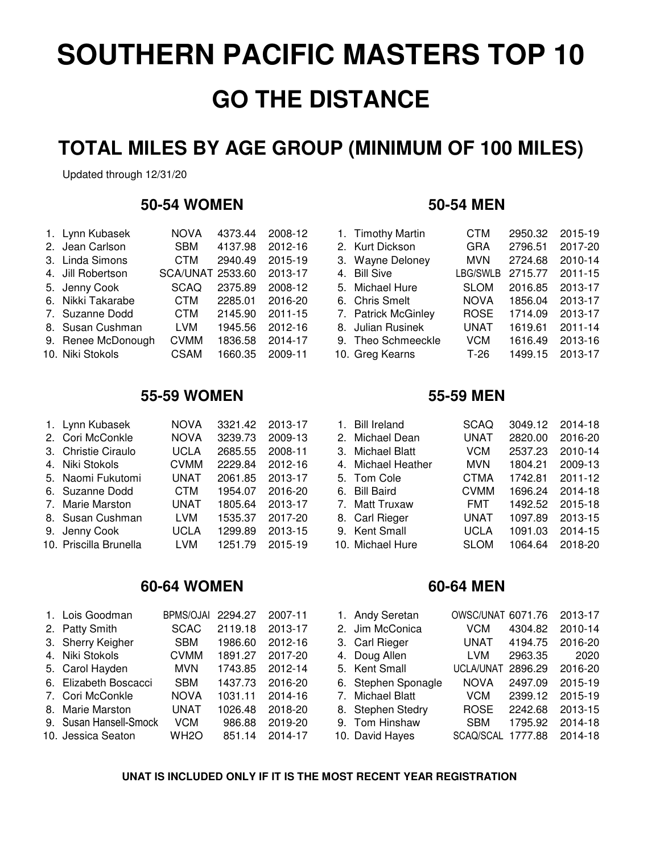## **TOTAL MILES BY AGE GROUP (MINIMUM OF 100 MILES)**

Updated through 12/31/20

### **50-54 WOMEN 50-54 MEN**

| 1. Lynn Kubasek    | NOVA                    | 4373.44 | 2008-12 | 1. Timothy Martin   | <b>CTM</b>  | 2950.32 | 2015-19 |
|--------------------|-------------------------|---------|---------|---------------------|-------------|---------|---------|
| 2. Jean Carlson    | <b>SBM</b>              | 4137.98 | 2012-16 | 2. Kurt Dickson     | <b>GRA</b>  | 2796.51 | 2017-20 |
| 3. Linda Simons    | <b>CTM</b>              | 2940.49 | 2015-19 | 3. Wayne Deloney    | <b>MVN</b>  | 2724.68 | 2010-14 |
| 4. Jill Robertson  | <b>SCA/UNAT 2533.60</b> |         | 2013-17 | 4. Bill Sive        | LBG/SWLB    | 2715.77 | 2011-15 |
| 5. Jenny Cook      | <b>SCAO</b>             | 2375.89 | 2008-12 | 5. Michael Hure     | <b>SLOM</b> | 2016.85 | 2013-17 |
| 6. Nikki Takarabe  | <b>CTM</b>              | 2285.01 | 2016-20 | 6. Chris Smelt      | <b>NOVA</b> | 1856.04 | 2013-17 |
| 7. Suzanne Dodd    | <b>CTM</b>              | 2145.90 | 2011-15 | 7. Patrick McGinley | <b>ROSE</b> | 1714.09 | 2013-17 |
| 8. Susan Cushman   | <b>LVM</b>              | 1945.56 | 2012-16 | 8. Julian Rusinek   | UNAT        | 1619.61 | 2011-14 |
| 9. Renee McDonough | <b>CVMM</b>             | 1836.58 | 2014-17 | 9. Theo Schmeeckle  | <b>VCM</b>  | 1616.49 | 2013-16 |
| 10. Niki Stokols   | <b>CSAM</b>             | 1660.35 | 2009-11 | 10. Greg Kearns     | T-26        | 1499.15 | 2013-17 |
|                    |                         |         |         |                     |             |         |         |

#### **55-59 WOMEN 55-59 MEN**

| 1. Lynn Kubasek        | <b>NOVA</b> | 3321.42 | 2013-17 | 1. Bill Ireland    | <b>SCAQ</b> | 3049.12 | 2014-18 |
|------------------------|-------------|---------|---------|--------------------|-------------|---------|---------|
| 2. Cori McConkle       | <b>NOVA</b> | 3239.73 | 2009-13 | 2. Michael Dean    | UNAT        | 2820.00 | 2016-20 |
| 3. Christie Ciraulo    | <b>UCLA</b> | 2685.55 | 2008-11 | 3. Michael Blatt   | <b>VCM</b>  | 2537.23 | 2010-14 |
| 4. Niki Stokols        | <b>CVMM</b> | 2229.84 | 2012-16 | 4. Michael Heather | <b>MVN</b>  | 1804.21 | 2009-13 |
| 5. Naomi Fukutomi      | <b>UNAT</b> | 2061.85 | 2013-17 | 5. Tom Cole        | <b>CTMA</b> | 1742.81 | 2011-12 |
| 6. Suzanne Dodd        | <b>CTM</b>  | 1954.07 | 2016-20 | 6. Bill Baird      | <b>CVMM</b> | 1696.24 | 2014-18 |
| 7. Marie Marston       | UNAT        | 1805.64 | 2013-17 | 7. Matt Truxaw     | <b>FMT</b>  | 1492.52 | 2015-18 |
| 8. Susan Cushman       | <b>LVM</b>  | 1535.37 | 2017-20 | 8. Carl Rieger     | UNAT        | 1097.89 | 2013-15 |
| 9. Jenny Cook          | <b>UCLA</b> | 1299.89 | 2013-15 | 9. Kent Small      | <b>UCLA</b> | 1091.03 | 2014-15 |
| 10. Priscilla Brunella | <b>LVM</b>  | 1251.79 | 2015-19 | 10. Michael Hure   | <b>SLOM</b> | 1064.64 | 2018-20 |
|                        |             |         |         |                    |             |         |         |

### **60-64 WOMEN 60-64 MEN**

|                                                                                                                                                                                     |                        | 2007-11           |  |                                                                                                                                                                                             |         | 2013-17                                        |
|-------------------------------------------------------------------------------------------------------------------------------------------------------------------------------------|------------------------|-------------------|--|---------------------------------------------------------------------------------------------------------------------------------------------------------------------------------------------|---------|------------------------------------------------|
| <b>SCAC</b>                                                                                                                                                                         | 2119.18                | 2013-17           |  | <b>VCM</b>                                                                                                                                                                                  | 4304.82 | 2010-14                                        |
| <b>SBM</b>                                                                                                                                                                          | 1986.60                | 2012-16           |  | <b>UNAT</b>                                                                                                                                                                                 | 4194.75 | 2016-20                                        |
| <b>CVMM</b>                                                                                                                                                                         | 1891.27                | 2017-20           |  | <b>LVM</b>                                                                                                                                                                                  | 2963.35 | 2020                                           |
| <b>MVN</b>                                                                                                                                                                          | 1743.85                | 2012-14           |  | <b>UCLA/UNAT</b>                                                                                                                                                                            |         | 2016-20                                        |
| <b>SBM</b>                                                                                                                                                                          | 1437.73                | 2016-20           |  | <b>NOVA</b>                                                                                                                                                                                 | 2497.09 | 2015-19                                        |
| <b>NOVA</b>                                                                                                                                                                         | 1031.11                | 2014-16           |  | <b>VCM</b>                                                                                                                                                                                  | 2399.12 | 2015-19                                        |
| <b>UNAT</b>                                                                                                                                                                         | 1026.48                | 2018-20           |  | <b>ROSE</b>                                                                                                                                                                                 | 2242.68 | 2013-15                                        |
| <b>VCM</b>                                                                                                                                                                          | 986.88                 | 2019-20           |  | <b>SBM</b>                                                                                                                                                                                  | 1795.92 | 2014-18                                        |
| WH2O                                                                                                                                                                                | 851.14                 | 2014-17           |  | SCAQ/SCAL                                                                                                                                                                                   |         | 2014-18                                        |
| 1. Lois Goodman<br>2. Patty Smith<br>3. Sherry Keigher<br>4. Niki Stokols<br>5. Carol Hayden<br>6. Elizabeth Boscacci<br>7. Cori McConkle<br>8. Marie Marston<br>10. Jessica Seaton | 9. Susan Hansell-Smock | BPMS/OJAI 2294.27 |  | 1. Andy Seretan<br>2. Jim McConica<br>3. Carl Rieger<br>4. Doug Allen<br>5. Kent Small<br>6. Stephen Sponagle<br>7. Michael Blatt<br>8. Stephen Stedry<br>9. Tom Hinshaw<br>10. David Hayes |         | <b>OWSC/UNAT 6071.76</b><br>2896.29<br>1777.88 |

| 1. Timothy Martin   | <b>CTM</b>  | 2950.32 | 2015-19 |
|---------------------|-------------|---------|---------|
| 2. Kurt Dickson     | <b>GRA</b>  | 2796.51 | 2017-20 |
| 3. Wayne Deloney    | <b>MVN</b>  | 2724.68 | 2010-14 |
| 4. Bill Sive        | LBG/SWLB    | 2715.77 | 2011-15 |
| 5. Michael Hure     | <b>SLOM</b> | 2016.85 | 2013-17 |
| 6. Chris Smelt      | <b>NOVA</b> | 1856.04 | 2013-17 |
| 7. Patrick McGinley | <b>ROSE</b> | 1714.09 | 2013-17 |
| 8. Julian Rusinek   | <b>UNAT</b> | 1619.61 | 2011-14 |
| 9. Theo Schmeeckle  | <b>VCM</b>  | 1616.49 | 2013-16 |
| 10. Greg Kearns     | $T-26$      | 1499.15 | 2013-17 |

| 1. Bill Ireland    | <b>SCAQ</b> | 3049.12 | 2014-18 |
|--------------------|-------------|---------|---------|
| 2. Michael Dean    | <b>UNAT</b> | 2820.00 | 2016-20 |
| 3. Michael Blatt   | <b>VCM</b>  | 2537.23 | 2010-14 |
| 4. Michael Heather | <b>MVN</b>  | 1804.21 | 2009-13 |
| 5. Tom Cole        | <b>CTMA</b> | 1742.81 | 2011-12 |
| 6. Bill Baird      | <b>CVMM</b> | 1696.24 | 2014-18 |
| 7. Matt Truxaw     | <b>FMT</b>  | 1492.52 | 2015-18 |
| 8. Carl Rieger     | <b>UNAT</b> | 1097.89 | 2013-15 |
| 9. Kent Small      | <b>UCLA</b> | 1091.03 | 2014-15 |
| 10. Michael Hure   | <b>SLOM</b> | 1064.64 | 2018-20 |
|                    |             |         |         |

| 1. Andy Seretan     | <b>OWSC/UNAT 6071.76</b> |         | 2013-17 |
|---------------------|--------------------------|---------|---------|
| 2. Jim McConica     | <b>VCM</b>               | 4304.82 | 2010-14 |
| 3. Carl Rieger      | <b>UNAT</b>              | 4194.75 | 2016-20 |
| 4. Doug Allen       | <b>LVM</b>               | 2963.35 | 2020    |
| 5. Kent Small       | UCLA/UNAT                | 2896.29 | 2016-20 |
| 6. Stephen Sponagle | <b>NOVA</b>              | 2497.09 | 2015-19 |
| 7. Michael Blatt    | <b>VCM</b>               | 2399.12 | 2015-19 |
| 8. Stephen Stedry   | <b>ROSE</b>              | 2242.68 | 2013-15 |
| 9. Tom Hinshaw      | <b>SBM</b>               | 1795.92 | 2014-18 |
| 10. David Hayes     | SCAQ/SCAL                | 1777.88 | 2014-18 |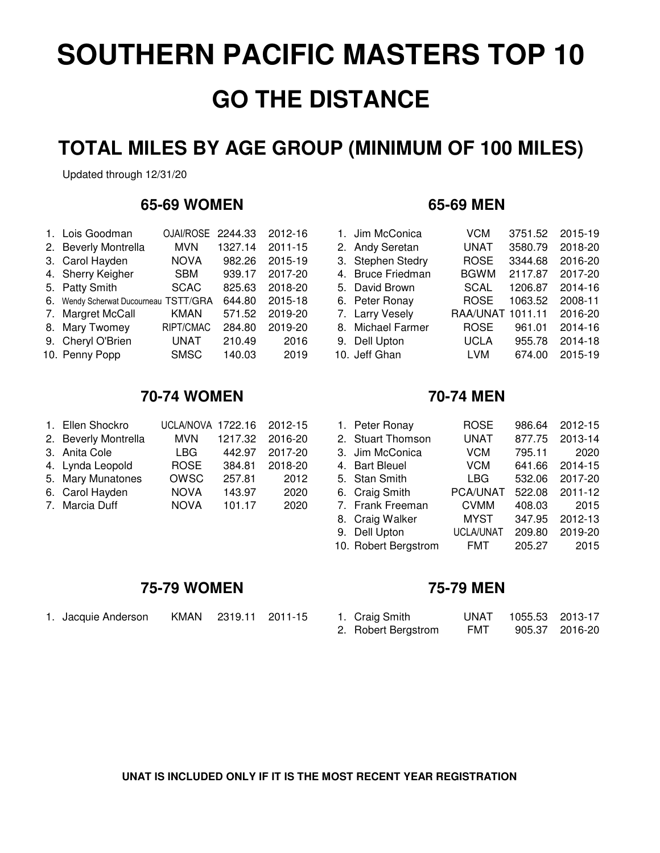## **TOTAL MILES BY AGE GROUP (MINIMUM OF 100 MILES)**

Updated through 12/31/20

### **65-69 WOMEN 65-69 MEN**

| 1. Lois Goodman                       | OJAI/ROSE 2244.33 |         | 2012-16 | 1. Jim McConica   | VCM              | 3751.52 | 2015-19 |
|---------------------------------------|-------------------|---------|---------|-------------------|------------------|---------|---------|
| 2. Beverly Montrella                  | <b>MVN</b>        | 1327.14 | 2011-15 | 2. Andy Seretan   | <b>UNAT</b>      | 3580.79 | 2018-20 |
| 3. Carol Hayden                       | <b>NOVA</b>       | 982.26  | 2015-19 | 3. Stephen Stedry | <b>ROSE</b>      | 3344.68 | 2016-20 |
| 4. Sherry Keigher                     | <b>SBM</b>        | 939.17  | 2017-20 | 4. Bruce Friedman | <b>BGWM</b>      | 2117.87 | 2017-20 |
| 5. Patty Smith                        | <b>SCAC</b>       | 825.63  | 2018-20 | 5. David Brown    | <b>SCAL</b>      | 1206.87 | 2014-16 |
| 6. Wendy Scherwat Ducourneau TSTT/GRA |                   | 644.80  | 2015-18 | 6. Peter Ronay    | <b>ROSE</b>      | 1063.52 | 2008-11 |
| 7. Margret McCall                     | <b>KMAN</b>       | 571.52  | 2019-20 | 7. Larry Vesely   | RAA/UNAT 1011.11 |         | 2016-20 |
| 8. Mary Twomey                        | RIPT/CMAC         | 284.80  | 2019-20 | 8. Michael Farmer | <b>ROSE</b>      | 961.01  | 2014-16 |
| 9. Cheryl O'Brien                     | UNAT              | 210.49  | 2016    | 9. Dell Upton     | <b>UCLA</b>      | 955.78  | 2014-18 |
| 10. Penny Popp                        | <b>SMSC</b>       | 140.03  | 2019    | 10. Jeff Ghan     | <b>LVM</b>       | 674.00  | 2015-19 |

### **70-74 WOMEN**

| 1. Ellen Shockro     | UCLA/NOVA 1722.16 2012-15 |         |         | 1. Peter Ronay    | <b>ROSE</b> | 986.64 | 2012-15 |
|----------------------|---------------------------|---------|---------|-------------------|-------------|--------|---------|
| 2. Beverly Montrella | MVN                       | 1217.32 | 2016-20 | 2. Stuart Thomson | <b>UNAT</b> | 877.75 | 2013-14 |
| 3. Anita Cole        | LBG.                      | 442.97  | 2017-20 | 3. Jim McConica   | <b>VCM</b>  | 795.11 | 2020    |
| 4. Lynda Leopold     | <b>ROSE</b>               | 384.81  | 2018-20 | 4. Bart Bleuel    | <b>VCM</b>  | 641.66 | 2014-15 |
| 5. Mary Munatones    | <b>OWSC</b>               | 257.81  | 2012    | 5. Stan Smith     | LBG.        | 532.06 | 2017-20 |
| 6. Carol Hayden      | <b>NOVA</b>               | 143.97  | 2020    | 6. Craig Smith    | PCA/UNAT    | 522.08 | 2011-12 |
| 7. Marcia Duff       | <b>NOVA</b>               | 101.17  | 2020    | 7. Frank Freeman  | <b>CVMM</b> | 408.03 | 2015    |
|                      |                           |         |         |                   |             |        |         |

| 1. Jim McConica   | <b>VCM</b>  | 3751.52 | 2015-19 |
|-------------------|-------------|---------|---------|
| 2. Andy Seretan   | <b>UNAT</b> | 3580.79 | 2018-20 |
| 3. Stephen Stedry | <b>ROSE</b> | 3344.68 | 2016-20 |
| 4. Bruce Friedman | <b>BGWM</b> | 2117.87 | 2017-20 |
| 5. David Brown    | <b>SCAL</b> | 1206.87 | 2014-16 |
| 6. Peter Ronay    | <b>ROSE</b> | 1063.52 | 2008-11 |
| 7. Larry Vesely   | RAA/UNAT    | 1011.11 | 2016-20 |
| 8. Michael Farmer | <b>ROSE</b> | 961.01  | 2014-16 |
| 9. Dell Upton     | <b>UCLA</b> | 955.78  | 2014-18 |
| 10. Jeff Ghan     | <b>LVM</b>  | 674.00  | 2015-19 |

### **70-74 MEN**

| 1. Peter Ronay       | <b>ROSE</b> | 986.64 | 2012-15 |
|----------------------|-------------|--------|---------|
| 2. Stuart Thomson    | <b>UNAT</b> | 877.75 | 2013-14 |
| 3. Jim McConica      | <b>VCM</b>  | 795.11 | 2020    |
| 4. Bart Bleuel       | <b>VCM</b>  | 641.66 | 2014-15 |
| 5. Stan Smith        | <b>LBG</b>  | 532.06 | 2017-20 |
| 6. Craig Smith       | PCA/UNAT    | 522.08 | 2011-12 |
| 7. Frank Freeman     | <b>CVMM</b> | 408.03 | 2015    |
| 8. Craig Walker      | <b>MYST</b> | 347.95 | 2012-13 |
| 9. Dell Upton        | UCLA/UNAT   | 209.80 | 2019-20 |
| 10. Robert Bergstrom | <b>FMT</b>  | 205.27 | 2015    |
|                      |             |        |         |

### **75-79 WOMEN 75-79 MEN**

| Jacquie Anderson | KMAN | 2319.11 2011-15 |  |
|------------------|------|-----------------|--|
|                  |      |                 |  |

| 1. Jacquie Anderson |  | KMAN 2319.11 2011-15 | 1. Craig Smith          | UNAT 1055.53 2013-17 |  |
|---------------------|--|----------------------|-------------------------|----------------------|--|
|                     |  |                      | 2. Robert Bergstrom FMT | 905.37 2016-20       |  |